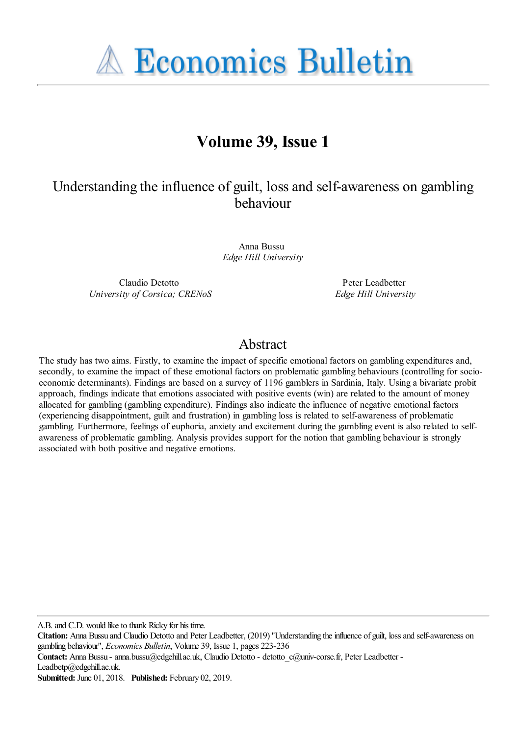**A Economics Bulletin** 

# **Volume 39, Issue 1**

## Understanding the influence of guilt, loss and self-awareness on gambling behaviour

Anna Bussu *Edge Hill University*

Claudio Detotto *University of Corsica; CRENoS*

Peter Leadbetter *Edge Hill University*

## Abstract

The study has two aims. Firstly, to examine the impact of specific emotional factors on gambling expenditures and, secondly, to examine the impact of these emotional factors on problematic gambling behaviours (controlling for socioeconomic determinants). Findings are based on a survey of 1196 gamblers in Sardinia, Italy. Using a bivariate probit approach, findings indicate that emotions associated with positive events (win) are related to the amount of money allocated for gambling (gambling expenditure). Findings also indicate the influence of negative emotional factors (experiencing disappointment, guilt and frustration) in gambling loss is related to self-awareness of problematic gambling. Furthermore, feelings of euphoria, anxiety and excitement during the gambling event is also related to selfawareness of problematic gambling. Analysis provides support for the notion that gambling behaviour is strongly associated with both positive and negative emotions.

A.B. and C.D. would like to thank Ricky for his time.

**Contact:** Anna Bussu - anna.bussu@edgehill.ac.uk, Claudio Detotto - detotto\_c@univ-corse.fr, Peter Leadbetter - Leadbetp@edgehill.ac.uk.

**Submitted:** June 01, 2018. **Published:** February 02, 2019.

**Citation:** Anna Bussu and Claudio Detotto and Peter Leadbetter, (2019) ''Understanding the influence of guilt, loss and self-awareness on gambling behaviour'', *Economics Bulletin*, Volume 39, Issue 1, pages 223-236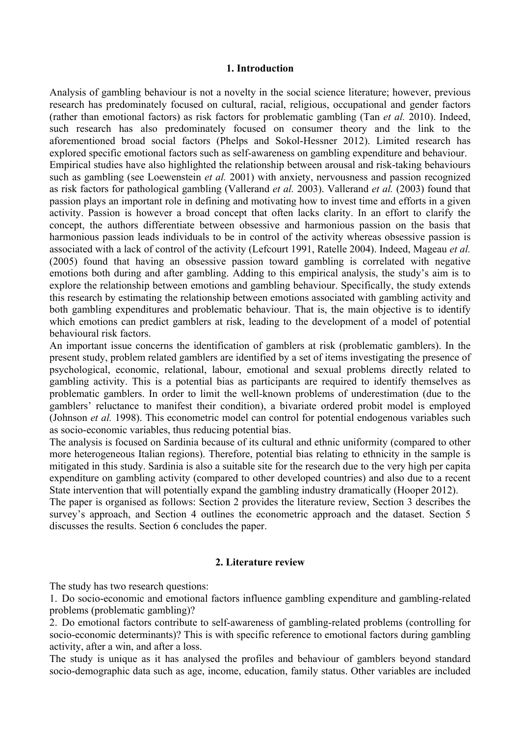#### **1. Introduction**

Analysis of gambling behaviour is not a novelty in the social science literature; however, previous research has predominately focused on cultural, racial, religious, occupational and gender factors (rather than emotional factors) as risk factors for problematic gambling (Tan *et al.* 2010). Indeed, such research has also predominately focused on consumer theory and the link to the aforementioned broad social factors (Phelps and Sokol-Hessner 2012). Limited research has explored specific emotional factors such as self-awareness on gambling expenditure and behaviour. Empirical studies have also highlighted the relationship between arousal and risk-taking behaviours such as gambling (see Loewenstein *et al.* 2001) with anxiety, nervousness and passion recognized as risk factors for pathological gambling (Vallerand *et al.* 2003). Vallerand *et al.* (2003) found that passion plays an important role in defining and motivating how to invest time and efforts in a given activity. Passion is however a broad concept that often lacks clarity. In an effort to clarify the concept, the authors differentiate between obsessive and harmonious passion on the basis that harmonious passion leads individuals to be in control of the activity whereas obsessive passion is associated with a lack of control of the activity (Lefcourt 1991, Ratelle 2004). Indeed, Mageau *et al.* (2005) found that having an obsessive passion toward gambling is correlated with negative emotions both during and after gambling. Adding to this empirical analysis, the study's aim is to explore the relationship between emotions and gambling behaviour. Specifically, the study extends this research by estimating the relationship between emotions associated with gambling activity and both gambling expenditures and problematic behaviour. That is, the main objective is to identify which emotions can predict gamblers at risk, leading to the development of a model of potential behavioural risk factors.

An important issue concerns the identification of gamblers at risk (problematic gamblers). In the present study, problem related gamblers are identified by a set of items investigating the presence of psychological, economic, relational, labour, emotional and sexual problems directly related to gambling activity. This is a potential bias as participants are required to identify themselves as problematic gamblers. In order to limit the well-known problems of underestimation (due to the gamblers' reluctance to manifest their condition), a bivariate ordered probit model is employed (Johnson *et al.* 1998). This econometric model can control for potential endogenous variables such as socio-economic variables, thus reducing potential bias.

The analysis is focused on Sardinia because of its cultural and ethnic uniformity (compared to other more heterogeneous Italian regions). Therefore, potential bias relating to ethnicity in the sample is mitigated in this study. Sardinia is also a suitable site for the research due to the very high per capita expenditure on gambling activity (compared to other developed countries) and also due to a recent State intervention that will potentially expand the gambling industry dramatically (Hooper 2012).

The paper is organised as follows: Section 2 provides the literature review, Section 3 describes the survey's approach, and Section 4 outlines the econometric approach and the dataset. Section 5 discusses the results. Section 6 concludes the paper.

## **2. Literature review**

The study has two research questions:

1. Do socio-economic and emotional factors influence gambling expenditure and gambling-related problems (problematic gambling)?

2. Do emotional factors contribute to self-awareness of gambling-related problems (controlling for socio-economic determinants)? This is with specific reference to emotional factors during gambling activity, after a win, and after a loss.

The study is unique as it has analysed the profiles and behaviour of gamblers beyond standard socio-demographic data such as age, income, education, family status. Other variables are included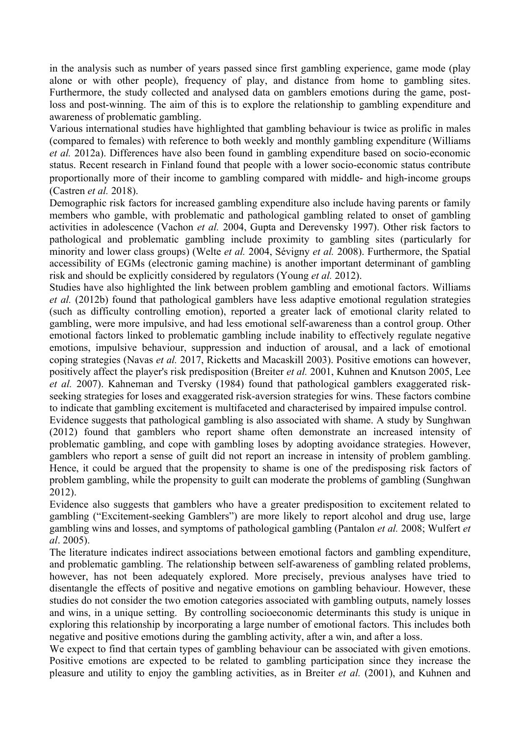in the analysis such as number of years passed since first gambling experience, game mode (play alone or with other people), frequency of play, and distance from home to gambling sites. Furthermore, the study collected and analysed data on gamblers emotions during the game, postloss and post-winning. The aim of this is to explore the relationship to gambling expenditure and awareness of problematic gambling.

Various international studies have highlighted that gambling behaviour is twice as prolific in males (compared to females) with reference to both weekly and monthly gambling expenditure (Williams *et al.* 2012a). Differences have also been found in gambling expenditure based on socio-economic status. Recent research in Finland found that people with a lower socio-economic status contribute proportionally more of their income to gambling compared with middle- and high-income groups (Castren *et al.* 2018).

Demographic risk factors for increased gambling expenditure also include having parents or family members who gamble, with problematic and pathological gambling related to onset of gambling activities in adolescence (Vachon *et al.* 2004, Gupta and Derevensky 1997). Other risk factors to pathological and problematic gambling include proximity to gambling sites (particularly for minority and lower class groups) (Welte *et al.* 2004, Sévigny *et al.* 2008). Furthermore, the Spatial accessibility of EGMs (electronic gaming machine) is another important determinant of gambling risk and should be explicitly considered by regulators (Young *et al.* 2012).

Studies have also highlighted the link between problem gambling and emotional factors. Williams *et al.* (2012b) found that pathological gamblers have less adaptive emotional regulation strategies (such as difficulty controlling emotion), reported a greater lack of emotional clarity related to gambling, were more impulsive, and had less emotional self-awareness than a control group. Other emotional factors linked to problematic gambling include inability to effectively regulate negative emotions, impulsive behaviour, suppression and induction of arousal, and a lack of emotional coping strategies (Navas *et al.* 2017, Ricketts and Macaskill 2003). Positive emotions can however, positively affect the player's risk predisposition (Breiter *et al.* 2001, Kuhnen and Knutson 2005, Lee *et al.* 2007). Kahneman and Tversky (1984) found that pathological gamblers exaggerated riskseeking strategies for loses and exaggerated risk-aversion strategies for wins. These factors combine to indicate that gambling excitement is multifaceted and characterised by impaired impulse control.

Evidence suggests that pathological gambling is also associated with shame. A study by Sunghwan (2012) found that gamblers who report shame often demonstrate an increased intensity of problematic gambling, and cope with gambling loses by adopting avoidance strategies. However, gamblers who report a sense of guilt did not report an increase in intensity of problem gambling. Hence, it could be argued that the propensity to shame is one of the predisposing risk factors of problem gambling, while the propensity to guilt can moderate the problems of gambling (Sunghwan 2012).

Evidence also suggests that gamblers who have a greater predisposition to excitement related to gambling ("Excitement-seeking Gamblers") are more likely to report alcohol and drug use, large gambling wins and losses, and symptoms of pathological gambling (Pantalon *et al.* 2008; Wulfert *et al*. 2005).

The literature indicates indirect associations between emotional factors and gambling expenditure, and problematic gambling. The relationship between self-awareness of gambling related problems, however, has not been adequately explored. More precisely, previous analyses have tried to disentangle the effects of positive and negative emotions on gambling behaviour. However, these studies do not consider the two emotion categories associated with gambling outputs, namely losses and wins, in a unique setting. By controlling socioeconomic determinants this study is unique in exploring this relationship by incorporating a large number of emotional factors. This includes both negative and positive emotions during the gambling activity, after a win, and after a loss.

We expect to find that certain types of gambling behaviour can be associated with given emotions. Positive emotions are expected to be related to gambling participation since they increase the pleasure and utility to enjoy the gambling activities, as in Breiter *et al.* (2001), and Kuhnen and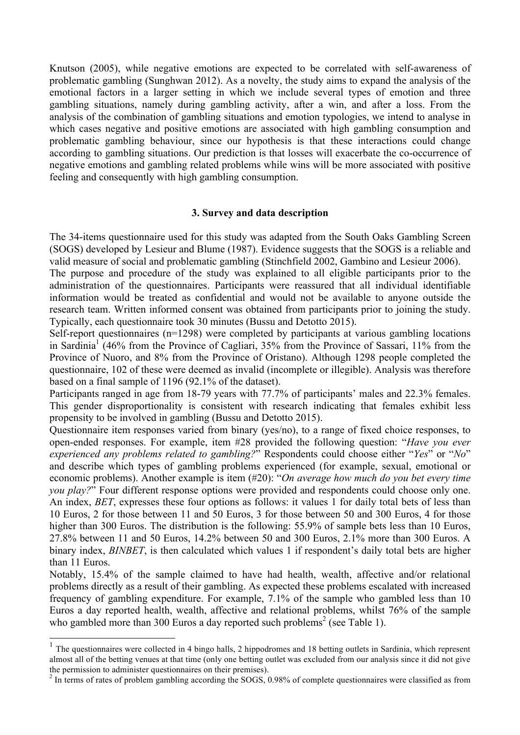Knutson (2005), while negative emotions are expected to be correlated with self-awareness of problematic gambling (Sunghwan 2012). As a novelty, the study aims to expand the analysis of the emotional factors in a larger setting in which we include several types of emotion and three gambling situations, namely during gambling activity, after a win, and after a loss. From the analysis of the combination of gambling situations and emotion typologies, we intend to analyse in which cases negative and positive emotions are associated with high gambling consumption and problematic gambling behaviour, since our hypothesis is that these interactions could change according to gambling situations. Our prediction is that losses will exacerbate the co-occurrence of negative emotions and gambling related problems while wins will be more associated with positive feeling and consequently with high gambling consumption.

## **3. Survey and data description**

The 34-items questionnaire used for this study was adapted from the South Oaks Gambling Screen (SOGS) developed by Lesieur and Blume (1987). Evidence suggests that the SOGS is a reliable and valid measure of social and problematic gambling (Stinchfield 2002, Gambino and Lesieur 2006).

The purpose and procedure of the study was explained to all eligible participants prior to the administration of the questionnaires. Participants were reassured that all individual identifiable information would be treated as confidential and would not be available to anyone outside the research team. Written informed consent was obtained from participants prior to joining the study. Typically, each questionnaire took 30 minutes (Bussu and Detotto 2015).

Self-report questionnaires (n=1298) were completed by participants at various gambling locations in Sardinia<sup>1</sup> (46% from the Province of Cagliari, 35% from the Province of Sassari, 11% from the Province of Nuoro, and 8% from the Province of Oristano). Although 1298 people completed the questionnaire, 102 of these were deemed as invalid (incomplete or illegible). Analysis was therefore based on a final sample of 1196 (92.1% of the dataset).

Participants ranged in age from 18-79 years with 77.7% of participants' males and 22.3% females. This gender disproportionality is consistent with research indicating that females exhibit less propensity to be involved in gambling (Bussu and Detotto 2015).

Questionnaire item responses varied from binary (yes/no), to a range of fixed choice responses, to open-ended responses. For example, item #28 provided the following question: "*Have you ever experienced any problems related to gambling?*" Respondents could choose either "*Yes*" or "*No*" and describe which types of gambling problems experienced (for example, sexual, emotional or economic problems). Another example is item (#20): "*On average how much do you bet every time you play?*" Four different response options were provided and respondents could choose only one. An index, *BET*, expresses these four options as follows: it values 1 for daily total bets of less than 10 Euros, 2 for those between 11 and 50 Euros, 3 for those between 50 and 300 Euros, 4 for those higher than 300 Euros. The distribution is the following: 55.9% of sample bets less than 10 Euros, 27.8% between 11 and 50 Euros, 14.2% between 50 and 300 Euros, 2.1% more than 300 Euros. A binary index, *BINBET*, is then calculated which values 1 if respondent's daily total bets are higher than 11 Euros.

Notably, 15.4% of the sample claimed to have had health, wealth, affective and/or relational problems directly as a result of their gambling. As expected these problems escalated with increased frequency of gambling expenditure. For example, 7.1% of the sample who gambled less than 10 Euros a day reported health, wealth, affective and relational problems, whilst 76% of the sample who gambled more than 300 Euros a day reported such problems<sup>2</sup> (see Table 1).

 $\overline{a}$ 

<sup>&</sup>lt;sup>1</sup> The questionnaires were collected in 4 bingo halls, 2 hippodromes and 18 betting outlets in Sardinia, which represent almost all of the betting venues at that time (only one betting outlet was excluded from our analysis since it did not give the permission to administer questionnaires on their premises).

 $2 \text{ n}$  terms of rates of problem gambling according the SOGS, 0.98% of complete questionnaires were classified as from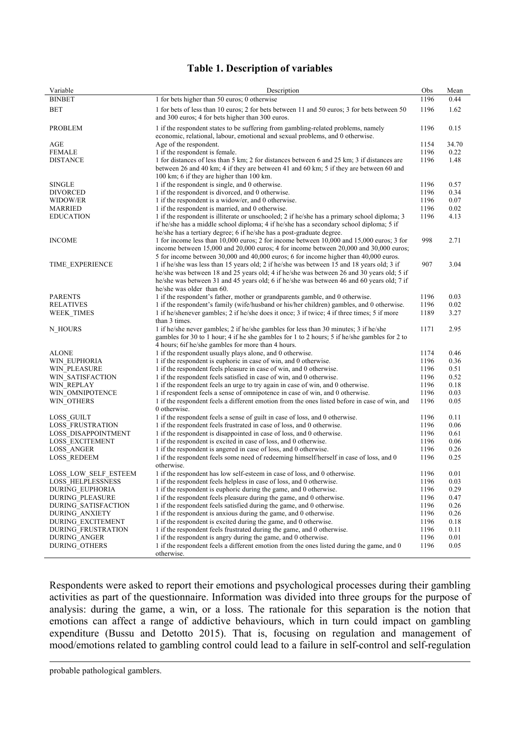## **Table 1. Description of variables**

| Variable                  | Description                                                                                                                                                                                                                                                                                                      | Obs  | Mean  |
|---------------------------|------------------------------------------------------------------------------------------------------------------------------------------------------------------------------------------------------------------------------------------------------------------------------------------------------------------|------|-------|
| <b>BINBET</b>             | 1 for bets higher than 50 euros; 0 otherwise                                                                                                                                                                                                                                                                     | 1196 | 0.44  |
| <b>BET</b>                | 1 for bets of less than 10 euros; 2 for bets between 11 and 50 euros; 3 for bets between 50<br>and 300 euros; 4 for bets higher than 300 euros.                                                                                                                                                                  | 1196 | 1.62  |
| <b>PROBLEM</b>            | 1 if the respondent states to be suffering from gambling-related problems, namely<br>economic, relational, labour, emotional and sexual problems, and 0 otherwise.                                                                                                                                               | 1196 | 0.15  |
| AGE                       | Age of the respondent.                                                                                                                                                                                                                                                                                           | 1154 | 34.70 |
| <b>FEMALE</b>             | 1 if the respondent is female.                                                                                                                                                                                                                                                                                   | 1196 | 0.22  |
| <b>DISTANCE</b>           | 1 for distances of less than 5 km; 2 for distances between 6 and 25 km; 3 if distances are<br>between 26 and 40 km; 4 if they are between 41 and 60 km; 5 if they are between 60 and<br>100 km; 6 if they are higher than 100 km.                                                                                | 1196 | 1.48  |
| <b>SINGLE</b>             | 1 if the respondent is single, and 0 otherwise.                                                                                                                                                                                                                                                                  | 1196 | 0.57  |
| <b>DIVORCED</b>           | 1 if the respondent is divorced, and 0 otherwise.                                                                                                                                                                                                                                                                | 1196 | 0.34  |
| WIDOW/ER                  | 1 if the respondent is a widow/er, and 0 otherwise.                                                                                                                                                                                                                                                              | 1196 | 0.07  |
| MARRIED                   | 1 if the respondent is married, and 0 otherwise.                                                                                                                                                                                                                                                                 | 1196 | 0.02  |
| <b>EDUCATION</b>          | 1 if the respondent is illiterate or unschooled; 2 if he/she has a primary school diploma; 3<br>if he/she has a middle school diploma; 4 if he/she has a secondary school diploma; 5 if<br>he/she has a tertiary degree; 6 if he/she has a post-graduate degree.                                                 | 1196 | 4.13  |
| <b>INCOME</b>             | 1 for income less than 10,000 euros; 2 for income between 10,000 and 15,000 euros; 3 for<br>income between $15,000$ and $20,000$ euros; 4 for income between $20,000$ and $30,000$ euros;<br>5 for income between 30,000 and 40,000 euros; 6 for income higher than 40,000 euros.                                | 998  | 2.71  |
| TIME_EXPERIENCE           | 1 if he/she was less than 15 years old; 2 if he/she was between 15 and 18 years old; 3 if<br>he/she was between 18 and 25 years old; 4 if he/she was between 26 and 30 years old; 5 if<br>he/she was between 31 and 45 years old; 6 if he/she was between 46 and 60 years old; 7 if<br>he/she was older than 60. | 907  | 3.04  |
| <b>PARENTS</b>            | 1 if the respondent's father, mother or grandparents gamble, and 0 otherwise.                                                                                                                                                                                                                                    | 1196 | 0.03  |
| <b>RELATIVES</b>          | 1 if the respondent's family (wife/husband or his/her children) gambles, and 0 otherwise.                                                                                                                                                                                                                        | 1196 | 0.02  |
| <b>WEEK TIMES</b>         | 1 if he/shenever gambles; 2 if he/she does it once; 3 if twice; 4 if three times; 5 if more<br>than 3 times.                                                                                                                                                                                                     | 1189 | 3.27  |
| N HOURS                   | 1 if he/she never gambles; 2 if he/she gambles for less than 30 minutes; 3 if he/she<br>gambles for 30 to 1 hour; 4 if he she gambles for 1 to 2 hours; 5 if he/she gambles for 2 to<br>4 hours; 6if he/she gambles for more than 4 hours.                                                                       | 1171 | 2.95  |
| <b>ALONE</b>              | 1 if the respondent usually plays alone, and 0 otherwise.                                                                                                                                                                                                                                                        | 1174 | 0.46  |
| WIN EUPHORIA              | 1 if the respondent is euphoric in case of win, and 0 otherwise.                                                                                                                                                                                                                                                 | 1196 | 0.36  |
| WIN PLEASURE              | 1 if the respondent feels pleasure in case of win, and 0 otherwise.                                                                                                                                                                                                                                              | 1196 | 0.51  |
| WIN SATISFACTION          | 1 if the respondent feels satisfied in case of win, and 0 otherwise.                                                                                                                                                                                                                                             | 1196 | 0.52  |
| WIN REPLAY                | 1 if the respondent feels an urge to try again in case of win, and 0 otherwise.                                                                                                                                                                                                                                  | 1196 | 0.18  |
| WIN OMNIPOTENCE           | 1 if respondent feels a sense of omnipotence in case of win, and 0 otherwise.                                                                                                                                                                                                                                    | 1196 | 0.03  |
| WIN OTHERS                | 1 if the respondent feels a different emotion from the ones listed before in case of win, and<br>0 otherwise.                                                                                                                                                                                                    | 1196 | 0.05  |
| LOSS GUILT                | 1 if the respondent feels a sense of guilt in case of loss, and 0 otherwise.                                                                                                                                                                                                                                     | 1196 | 0.11  |
| <b>LOSS FRUSTRATION</b>   | 1 if the respondent feels frustrated in case of loss, and 0 otherwise.                                                                                                                                                                                                                                           | 1196 | 0.06  |
| LOSS DISAPPOINTMENT       | 1 if the respondent is disappointed in case of loss, and 0 otherwise.                                                                                                                                                                                                                                            | 1196 | 0.61  |
| <b>LOSS EXCITEMENT</b>    | 1 if the respondent is excited in case of loss, and 0 otherwise.                                                                                                                                                                                                                                                 | 1196 | 0.06  |
| <b>LOSS ANGER</b>         | 1 if the respondent is angered in case of loss, and 0 otherwise.                                                                                                                                                                                                                                                 | 1196 | 0.26  |
| <b>LOSS REDEEM</b>        | 1 if the respondent feels some need of redeeming himself/herself in case of loss, and 0<br>otherwise.                                                                                                                                                                                                            | 1196 | 0.25  |
| LOSS LOW SELF ESTEEM      | 1 if the respondent has low self-esteem in case of loss, and 0 otherwise.                                                                                                                                                                                                                                        | 1196 | 0.01  |
| LOSS HELPLESSNESS         | 1 if the respondent feels helpless in case of loss, and 0 otherwise.                                                                                                                                                                                                                                             | 1196 | 0.03  |
| DURING EUPHORIA           | 1 if the respondent is euphoric during the game, and 0 otherwise.                                                                                                                                                                                                                                                | 1196 | 0.29  |
| <b>DURING PLEASURE</b>    | 1 if the respondent feels pleasure during the game, and 0 otherwise.                                                                                                                                                                                                                                             | 1196 | 0.47  |
| DURING SATISFACTION       | 1 if the respondent feels satisfied during the game, and 0 otherwise.                                                                                                                                                                                                                                            | 1196 | 0.26  |
| DURING ANXIETY            | 1 if the respondent is anxious during the game, and 0 otherwise.                                                                                                                                                                                                                                                 | 1196 | 0.26  |
| DURING EXCITEMENT         | 1 if the respondent is excited during the game, and 0 otherwise.                                                                                                                                                                                                                                                 | 1196 | 0.18  |
| <b>DURING FRUSTRATION</b> | 1 if the respondent feels frustrated during the game, and 0 otherwise.                                                                                                                                                                                                                                           | 1196 | 0.11  |
| <b>DURING ANGER</b>       | 1 if the respondent is angry during the game, and 0 otherwise.                                                                                                                                                                                                                                                   | 1196 | 0.01  |
| DURING_OTHERS             | 1 if the respondent feels a different emotion from the ones listed during the game, and 0<br>otherwise.                                                                                                                                                                                                          | 1196 | 0.05  |

Respondents were asked to report their emotions and psychological processes during their gambling activities as part of the questionnaire. Information was divided into three groups for the purpose of analysis: during the game, a win, or a loss. The rationale for this separation is the notion that emotions can affect a range of addictive behaviours, which in turn could impact on gambling expenditure (Bussu and Detotto 2015). That is, focusing on regulation and management of mood/emotions related to gambling control could lead to a failure in self-control and self-regulation

probable pathological gamblers.

 $\overline{a}$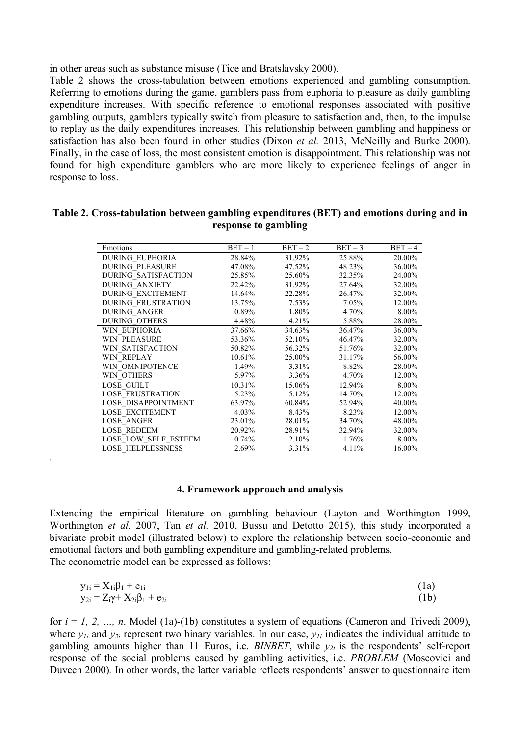in other areas such as substance misuse (Tice and Bratslavsky 2000).

Table 2 shows the cross-tabulation between emotions experienced and gambling consumption. Referring to emotions during the game, gamblers pass from euphoria to pleasure as daily gambling expenditure increases. With specific reference to emotional responses associated with positive gambling outputs, gamblers typically switch from pleasure to satisfaction and, then, to the impulse to replay as the daily expenditures increases. This relationship between gambling and happiness or satisfaction has also been found in other studies (Dixon *et al.* 2013, McNeilly and Burke 2000). Finally, in the case of loss, the most consistent emotion is disappointment. This relationship was not found for high expenditure gamblers who are more likely to experience feelings of anger in response to loss.

| Emotions                   | $BET = 1$ | $BET = 2$ | $BET = 3$ | $BET = 4$ |
|----------------------------|-----------|-----------|-----------|-----------|
| DURING EUPHORIA            | 28.84%    | 31.92%    | 25.88%    | 20.00%    |
| <b>DURING PLEASURE</b>     | 47.08%    | 47.52%    | 48.23%    | 36.00%    |
| <b>DURING SATISFACTION</b> | 25.85%    | 25.60%    | 32.35%    | 24.00%    |
| <b>DURING ANXIETY</b>      | 22.42%    | 31.92%    | 27.64%    | 32.00%    |
| DURING EXCITEMENT          | 14.64%    | 22.28%    | 26.47%    | 32.00%    |
| <b>DURING FRUSTRATION</b>  | 13.75%    | $7.53\%$  | 7.05%     | 12.00%    |
| <b>DURING ANGER</b>        | 0.89%     | 1.80%     | 4.70%     | 8.00%     |
| <b>DURING OTHERS</b>       | 4.48%     | 4.21%     | 5.88%     | 28.00%    |
| <b>WIN EUPHORIA</b>        | 37.66%    | 34.63%    | 36.47%    | 36.00%    |
| <b>WIN PLEASURE</b>        | 53.36%    | 52.10%    | 46.47%    | 32.00%    |
| WIN SATISFACTION           | 50.82%    | 56.32%    | 51.76%    | 32.00%    |
| WIN REPLAY                 | 10.61%    | 25.00%    | 31.17%    | 56.00%    |
| WIN OMNIPOTENCE            | 1.49%     | $3.31\%$  | 8.82%     | 28.00%    |
| <b>WIN OTHERS</b>          | 5.97%     | 3.36%     | 4.70%     | 12.00%    |
| LOSE GUILT                 | 10.31%    | 15.06%    | 12.94%    | 8.00%     |
| <b>LOSE FRUSTRATION</b>    | 5.23%     | 5.12%     | 14.70%    | 12.00%    |
| <b>LOSE DISAPPOINTMENT</b> | 63.97%    | 60.84%    | 52.94%    | 40.00%    |
| LOSE EXCITEMENT            | 4.03%     | 8.43%     | 8.23%     | 12.00%    |
| <b>LOSE ANGER</b>          | 23.01%    | 28.01%    | 34.70%    | 48.00%    |
| <b>LOSE REDEEM</b>         | 20.92%    | 28.91%    | 32.94%    | 32.00%    |
| LOSE LOW SELF ESTEEM       | 0.74%     | 2.10%     | 1.76%     | 8.00%     |
| <b>LOSE HELPLESSNESS</b>   | 2.69%     | 3.31%     | 4.11%     | 16.00%    |

#### **Table 2. Cross-tabulation between gambling expenditures (BET) and emotions during and in response to gambling**

#### **4. Framework approach and analysis**

.

Extending the empirical literature on gambling behaviour (Layton and Worthington 1999, Worthington *et al.* 2007, Tan *et al.* 2010, Bussu and Detotto 2015), this study incorporated a bivariate probit model (illustrated below) to explore the relationship between socio-economic and emotional factors and both gambling expenditure and gambling-related problems. The econometric model can be expressed as follows:

$$
y_{1i} = X_{1i}\beta_1 + e_{1i}
$$
  
\n
$$
y_{2i} = Z_i\gamma + X_{2i}\beta_1 + e_{2i}
$$
\n(1a)

for  $i = 1, 2, ..., n$ . Model (1a)-(1b) constitutes a system of equations (Cameron and Trivedi 2009), where  $y_{1i}$  and  $y_{2i}$  represent two binary variables. In our case,  $y_{1i}$  indicates the individual attitude to gambling amounts higher than 11 Euros, i.e. *BINBET*, while *y2i* is the respondents' self-report response of the social problems caused by gambling activities, i.e. *PROBLEM* (Moscovici and Duveen 2000)*.* In other words, the latter variable reflects respondents' answer to questionnaire item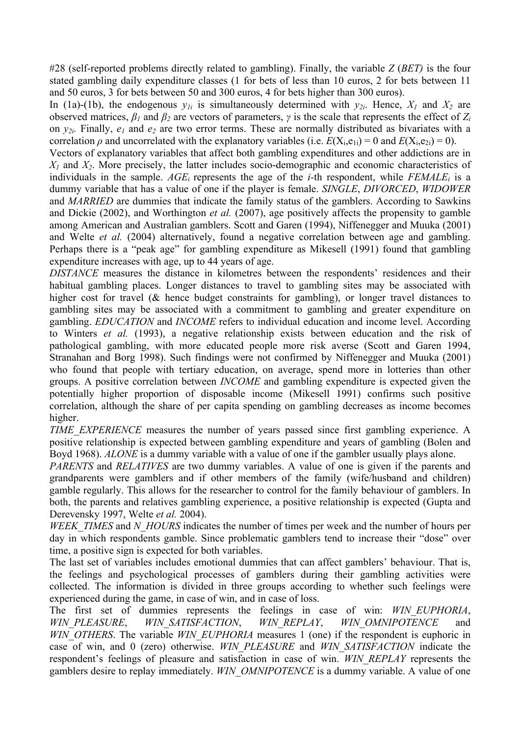#28 (self-reported problems directly related to gambling). Finally, the variable *Z* (*BET)* is the four stated gambling daily expenditure classes (1 for bets of less than 10 euros, 2 for bets between 11 and 50 euros, 3 for bets between 50 and 300 euros, 4 for bets higher than 300 euros).

In (1a)-(1b), the endogenous  $y_{1i}$  is simultaneously determined with  $y_{2i}$ . Hence,  $X_1$  and  $X_2$  are observed matrices,  $\beta_l$  and  $\beta_2$  are vectors of parameters,  $\gamma$  is the scale that represents the effect of  $Z_i$ on  $y_{2i}$ . Finally,  $e_1$  and  $e_2$  are two error terms. These are normally distributed as bivariates with a correlation *ρ* and uncorrelated with the explanatory variables (i.e.  $E(X_i, e_{1i}) = 0$  and  $E(X_i, e_{2i}) = 0$ ).

Vectors of explanatory variables that affect both gambling expenditures and other addictions are in *X<sup>1</sup>* and *X2*. More precisely, the latter includes socio-demographic and economic characteristics of individuals in the sample.  $AGE<sub>i</sub>$  represents the age of the *i*-th respondent, while *FEMALE<sub>i</sub>* is a dummy variable that has a value of one if the player is female. *SINGLE*, *DIVORCED*, *WIDOWER*  and *MARRIED* are dummies that indicate the family status of the gamblers. According to Sawkins and Dickie (2002), and Worthington *et al.* (2007), age positively affects the propensity to gamble among American and Australian gamblers. Scott and Garen (1994), Niffenegger and Muuka (2001) and Welte *et al.* (2004) alternatively, found a negative correlation between age and gambling. Perhaps there is a "peak age" for gambling expenditure as Mikesell (1991) found that gambling expenditure increases with age, up to 44 years of age.

*DISTANCE* measures the distance in kilometres between the respondents' residences and their habitual gambling places. Longer distances to travel to gambling sites may be associated with higher cost for travel ( $\&$  hence budget constraints for gambling), or longer travel distances to gambling sites may be associated with a commitment to gambling and greater expenditure on gambling. *EDUCATION* and *INCOME* refers to individual education and income level. According to Winters *et al.* (1993), a negative relationship exists between education and the risk of pathological gambling, with more educated people more risk averse (Scott and Garen 1994, Stranahan and Borg 1998). Such findings were not confirmed by Niffenegger and Muuka (2001) who found that people with tertiary education, on average, spend more in lotteries than other groups. A positive correlation between *INCOME* and gambling expenditure is expected given the potentially higher proportion of disposable income (Mikesell 1991) confirms such positive correlation, although the share of per capita spending on gambling decreases as income becomes higher.

*TIME\_EXPERIENCE* measures the number of years passed since first gambling experience. A positive relationship is expected between gambling expenditure and years of gambling (Bolen and Boyd 1968). *ALONE* is a dummy variable with a value of one if the gambler usually plays alone.

*PARENTS* and *RELATIVES* are two dummy variables. A value of one is given if the parents and grandparents were gamblers and if other members of the family (wife/husband and children) gamble regularly. This allows for the researcher to control for the family behaviour of gamblers. In both, the parents and relatives gambling experience, a positive relationship is expected (Gupta and Derevensky 1997, Welte *et al.* 2004).

*WEEK\_TIMES* and *N\_HOURS* indicates the number of times per week and the number of hours per day in which respondents gamble. Since problematic gamblers tend to increase their "dose" over time, a positive sign is expected for both variables.

The last set of variables includes emotional dummies that can affect gamblers' behaviour. That is, the feelings and psychological processes of gamblers during their gambling activities were collected. The information is divided in three groups according to whether such feelings were experienced during the game, in case of win, and in case of loss.

The first set of dummies represents the feelings in case of win: *WIN\_EUPHORIA*, *WIN\_PLEASURE*, *WIN\_SATISFACTION*, *WIN\_REPLAY*, *WIN\_OMNIPOTENCE* and *WIN\_OTHERS*. The variable *WIN\_EUPHORIA* measures 1 (one) if the respondent is euphoric in case of win, and 0 (zero) otherwise. *WIN\_PLEASURE* and *WIN\_SATISFACTION* indicate the respondent's feelings of pleasure and satisfaction in case of win. *WIN\_REPLAY* represents the gamblers desire to replay immediately. *WIN\_OMNIPOTENCE* is a dummy variable. A value of one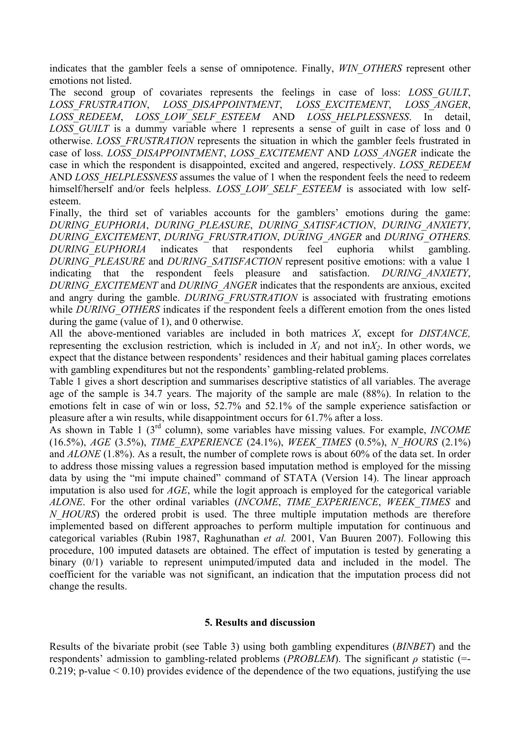indicates that the gambler feels a sense of omnipotence. Finally, *WIN\_OTHERS* represent other emotions not listed.

The second group of covariates represents the feelings in case of loss: *LOSS\_GUILT*, *LOSS\_FRUSTRATION*, *LOSS\_DISAPPOINTMENT*, *LOSS\_EXCITEMENT*, *LOSS\_ANGER*, *LOSS\_REDEEM*, *LOSS\_LOW\_SELF\_ESTEEM* AND *LOSS\_HELPLESSNESS*. In detail, *LOSS GUILT* is a dummy variable where 1 represents a sense of guilt in case of loss and 0 otherwise. *LOSS\_FRUSTRATION* represents the situation in which the gambler feels frustrated in case of loss. *LOSS\_DISAPPOINTMENT*, *LOSS\_EXCITEMENT* AND *LOSS\_ANGER* indicate the case in which the respondent is disappointed, excited and angered, respectively. *LOSS\_REDEEM*  AND *LOSS* HELPLESSNESS assumes the value of 1 when the respondent feels the need to redeem himself/herself and/or feels helpless. *LOSS LOW SELF ESTEEM* is associated with low selfesteem.

Finally, the third set of variables accounts for the gamblers' emotions during the game: *DURING\_EUPHORIA*, *DURING\_PLEASURE*, *DURING\_SATISFACTION*, *DURING\_ANXIETY*, *DURING\_EXCITEMENT*, *DURING\_FRUSTRATION*, *DURING\_ANGER* and *DURING\_OTHERS*. *DURING\_EUPHORIA* indicates that respondents feel euphoria whilst gambling. *DURING\_PLEASURE* and *DURING\_SATISFACTION* represent positive emotions: with a value 1 indicating that the respondent feels pleasure and satisfaction. *DURING\_ANXIETY*, *DURING\_EXCITEMENT* and *DURING\_ANGER* indicates that the respondents are anxious, excited and angry during the gamble. *DURING\_FRUSTRATION* is associated with frustrating emotions while *DURING* OTHERS indicates if the respondent feels a different emotion from the ones listed during the game (value of 1), and 0 otherwise.

All the above-mentioned variables are included in both matrices *X*, except for *DISTANCE,*  representing the exclusion restriction, which is included in  $X<sub>1</sub>$  and not in $X<sub>2</sub>$ . In other words, we expect that the distance between respondents' residences and their habitual gaming places correlates with gambling expenditures but not the respondents' gambling-related problems.

Table 1 gives a short description and summarises descriptive statistics of all variables. The average age of the sample is 34.7 years. The majority of the sample are male (88%). In relation to the emotions felt in case of win or loss, 52.7% and 52.1% of the sample experience satisfaction or pleasure after a win results, while disappointment occurs for 61.7% after a loss.

As shown in Table 1 (3<sup>rd</sup> column), some variables have missing values. For example, *INCOME* (16.5%), *AGE* (3.5%), *TIME*\_*EXPERIENCE* (24.1%), *WEEK*\_*TIMES* (0.5%), *N\_HOURS* (2.1%) and *ALONE* (1.8%). As a result, the number of complete rows is about 60% of the data set. In order to address those missing values a regression based imputation method is employed for the missing data by using the "mi impute chained" command of STATA (Version 14). The linear approach imputation is also used for *AGE*, while the logit approach is employed for the categorical variable *ALONE*. For the other ordinal variables (*INCOME*, *TIME*\_*EXPERIENCE*, *WEEK*\_*TIMES* and *N* HOURS) the ordered probit is used. The three multiple imputation methods are therefore implemented based on different approaches to perform multiple imputation for continuous and categorical variables (Rubin 1987, Raghunathan *et al.* 2001, Van Buuren 2007). Following this procedure, 100 imputed datasets are obtained. The effect of imputation is tested by generating a binary  $(0/1)$  variable to represent unimputed/imputed data and included in the model. The coefficient for the variable was not significant, an indication that the imputation process did not change the results.

## **5. Results and discussion**

Results of the bivariate probit (see Table 3) using both gambling expenditures (*BINBET*) and the respondents' admission to gambling-related problems (*PROBLEM*). The significant *ρ* statistic (=- 0.219; p-value  $< 0.10$ ) provides evidence of the dependence of the two equations, justifying the use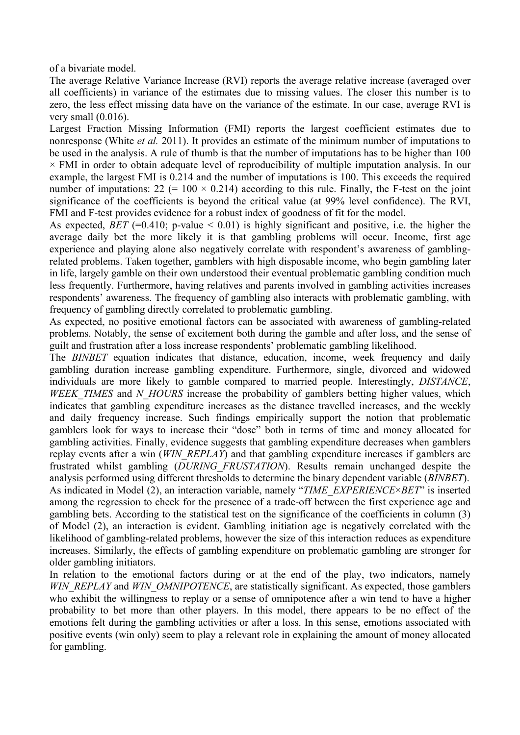of a bivariate model.

The average Relative Variance Increase (RVI) reports the average relative increase (averaged over all coefficients) in variance of the estimates due to missing values. The closer this number is to zero, the less effect missing data have on the variance of the estimate. In our case, average RVI is very small (0.016).

Largest Fraction Missing Information (FMI) reports the largest coefficient estimates due to nonresponse (White *et al.* 2011). It provides an estimate of the minimum number of imputations to be used in the analysis. A rule of thumb is that the number of imputations has to be higher than 100  $\times$  FMI in order to obtain adequate level of reproducibility of multiple imputation analysis. In our example, the largest FMI is 0.214 and the number of imputations is 100. This exceeds the required number of imputations:  $22 (= 100 \times 0.214)$  according to this rule. Finally, the F-test on the joint significance of the coefficients is beyond the critical value (at 99% level confidence). The RVI, FMI and F-test provides evidence for a robust index of goodness of fit for the model.

As expected, *BET* (=0.410; p-value  $\leq$  0.01) is highly significant and positive, i.e. the higher the average daily bet the more likely it is that gambling problems will occur. Income, first age experience and playing alone also negatively correlate with respondent's awareness of gamblingrelated problems. Taken together, gamblers with high disposable income, who begin gambling later in life, largely gamble on their own understood their eventual problematic gambling condition much less frequently. Furthermore, having relatives and parents involved in gambling activities increases respondents' awareness. The frequency of gambling also interacts with problematic gambling, with frequency of gambling directly correlated to problematic gambling.

As expected, no positive emotional factors can be associated with awareness of gambling-related problems. Notably, the sense of excitement both during the gamble and after loss, and the sense of guilt and frustration after a loss increase respondents' problematic gambling likelihood.

The *BINBET* equation indicates that distance, education, income, week frequency and daily gambling duration increase gambling expenditure. Furthermore, single, divorced and widowed individuals are more likely to gamble compared to married people. Interestingly, *DISTANCE*, *WEEK\_TIMES* and *N\_HOURS* increase the probability of gamblers betting higher values, which indicates that gambling expenditure increases as the distance travelled increases, and the weekly and daily frequency increase. Such findings empirically support the notion that problematic gamblers look for ways to increase their "dose" both in terms of time and money allocated for gambling activities. Finally, evidence suggests that gambling expenditure decreases when gamblers replay events after a win (*WIN\_REPLAY*) and that gambling expenditure increases if gamblers are frustrated whilst gambling (*DURING\_FRUSTATION*). Results remain unchanged despite the analysis performed using different thresholds to determine the binary dependent variable (*BINBET*). As indicated in Model (2), an interaction variable, namely "*TIME\_EXPERIENCE*×*BET*" is inserted among the regression to check for the presence of a trade-off between the first experience age and gambling bets. According to the statistical test on the significance of the coefficients in column (3) of Model (2), an interaction is evident. Gambling initiation age is negatively correlated with the likelihood of gambling-related problems, however the size of this interaction reduces as expenditure increases. Similarly, the effects of gambling expenditure on problematic gambling are stronger for older gambling initiators.

In relation to the emotional factors during or at the end of the play, two indicators, namely *WIN\_REPLAY* and *WIN\_OMNIPOTENCE*, are statistically significant. As expected, those gamblers who exhibit the willingness to replay or a sense of omnipotence after a win tend to have a higher probability to bet more than other players. In this model, there appears to be no effect of the emotions felt during the gambling activities or after a loss. In this sense, emotions associated with positive events (win only) seem to play a relevant role in explaining the amount of money allocated for gambling.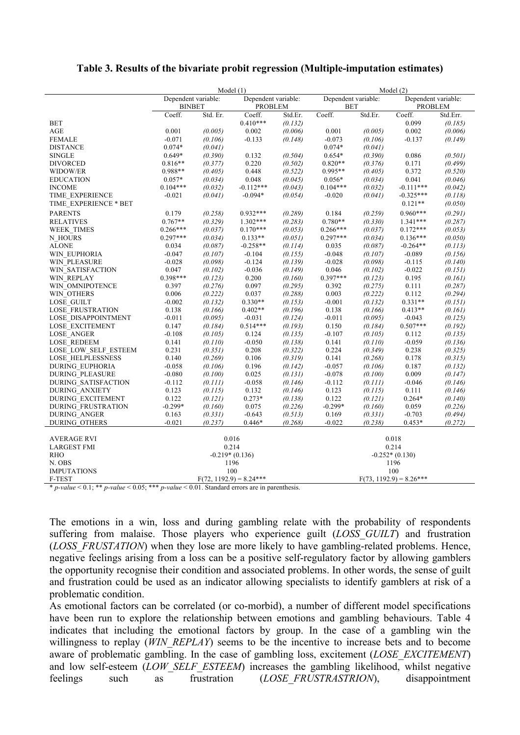|                                           |                                                        | Model $(1)$ |                |                                            | Model(2)         |         |                |          |  |
|-------------------------------------------|--------------------------------------------------------|-------------|----------------|--------------------------------------------|------------------|---------|----------------|----------|--|
|                                           | Dependent variable:<br>Dependent variable:             |             |                | Dependent variable:<br>Dependent variable: |                  |         |                |          |  |
|                                           | <b>BINBET</b>                                          |             | <b>PROBLEM</b> |                                            | <b>BET</b>       |         | <b>PROBLEM</b> |          |  |
|                                           | Coeff.                                                 | Std. Er.    | Coeff.         | Std.Er.                                    | Coeff.           | Std.Er. | Coeff.         | Std.Err. |  |
| <b>BET</b>                                |                                                        |             | $0.410***$     | (0.132)                                    |                  |         | 0.099          | (0.185)  |  |
| AGE                                       | 0.001                                                  | (0.005)     | 0.002          | (0.006)                                    | 0.001            | (0.005) | 0.002          | (0.006)  |  |
| <b>FEMALE</b>                             | $-0.071$                                               | (0.106)     | $-0.133$       | (0.148)                                    | $-0.073$         | (0.106) | $-0.137$       | (0.149)  |  |
| <b>DISTANCE</b>                           | $0.074*$                                               | (0.041)     |                |                                            | $0.074*$         | (0.041) |                |          |  |
| SINGLE                                    | $0.649*$                                               | (0.390)     | 0.132          | (0.504)                                    | $0.654*$         | (0.390) | 0.086          | (0.501)  |  |
| <b>DIVORCED</b>                           | $0.816**$                                              | (0.377)     | 0.220          | (0.502)                                    | $0.820**$        | (0.376) | 0.171          | (0.499)  |  |
| WIDOW/ER                                  | 0.988**                                                | (0.405)     | 0.448          | (0.522)                                    | 0.995**          | (0.405) | 0.372          | (0.520)  |  |
| <b>EDUCATION</b>                          | $0.057*$                                               | (0.034)     | 0.048          | (0.045)                                    | $0.056*$         | (0.034) | 0.041          | (0.046)  |  |
| <b>INCOME</b>                             | $0.104***$                                             | (0.032)     | $-0.112***$    | (0.043)                                    | $0.104***$       | (0.032) | $-0.111***$    | (0.042)  |  |
| TIME EXPERIENCE                           | $-0.021$                                               | (0.041)     | $-0.094*$      | (0.054)                                    | $-0.020$         | (0.041) | $-0.325***$    | (0.118)  |  |
| TIME_EXPERIENCE * BET                     |                                                        |             |                |                                            |                  |         | $0.121**$      | (0.050)  |  |
| <b>PARENTS</b>                            | 0.179                                                  | (0.258)     | $0.932***$     | (0.289)                                    | 0.184            | (0.259) | $0.960***$     | (0.291)  |  |
| <b>RELATIVES</b>                          | $0.767**$                                              | (0.329)     | $1.302***$     | (0.283)                                    | $0.780**$        | (0.330) | $1.341***$     | (0.287)  |  |
| WEEK_TIMES                                | $0.266***$                                             | (0.037)     | $0.170***$     | (0.053)                                    | $0.266***$       | (0.037) | $0.172***$     | (0.053)  |  |
| N HOURS                                   | $0.297***$                                             | (0.034)     | $0.133**$      | (0.051)                                    | $0.297***$       | (0.034) | $0.136***$     | (0.050)  |  |
| <b>ALONE</b>                              | 0.034                                                  | (0.087)     | $-0.258**$     | (0.114)                                    | 0.035            | (0.087) | $-0.264**$     | (0.113)  |  |
| WIN EUPHORIA                              | $-0.047$                                               | (0.107)     | $-0.104$       | (0.155)                                    | $-0.048$         | (0.107) | $-0.089$       | (0.156)  |  |
| WIN PLEASURE                              | $-0.028$                                               | (0.098)     | $-0.124$       | (0.139)                                    | $-0.028$         | (0.098) | $-0.115$       | (0.140)  |  |
| WIN SATISFACTION                          | 0.047                                                  | (0.102)     | $-0.036$       | (0.149)                                    | 0.046            | (0.102) | $-0.022$       | (0.151)  |  |
| <b>WIN REPLAY</b>                         | $0.398***$                                             | (0.123)     | 0.200          | (0.160)                                    | $0.397***$       | (0.123) | 0.195          | (0.161)  |  |
| WIN OMNIPOTENCE                           | 0.397                                                  | (0.276)     | 0.097          | (0.295)                                    | 0.392            | (0.275) | 0.111          | (0.287)  |  |
| WIN OTHERS                                | 0.006                                                  | (0.222)     | 0.037          | (0.288)                                    | 0.003            | (0.222) | 0.112          | (0.294)  |  |
| <b>LOSE GUILT</b>                         | $-0.002$                                               | (0.132)     | $0.330**$      | (0.153)                                    | $-0.001$         | (0.132) | $0.331**$      | (0.151)  |  |
| <b>LOSE FRUSTRATION</b>                   | 0.138                                                  | (0.166)     | $0.402**$      | (0.196)                                    | 0.138            | (0.166) | $0.413**$      | (0.161)  |  |
| LOSE DISAPPOINTMENT                       | $-0.011$                                               | (0.095)     | $-0.031$       | (0.124)                                    | $-0.011$         | (0.095) | $-0.043$       | (0.125)  |  |
| LOSE EXCITEMENT                           | 0.147                                                  | (0.184)     | $0.514***$     | (0.193)                                    | 0.150            | (0.184) | $0.507***$     | (0.192)  |  |
| LOSE_ANGER                                | $-0.108$                                               | (0.105)     | 0.124          | (0.135)                                    | $-0.107$         | (0.105) | 0.112          | (0.135)  |  |
| <b>LOSE REDEEM</b>                        | 0.141                                                  | (0.110)     | $-0.050$       | (0.138)                                    | 0.141            | (0.110) | $-0.059$       | (0.136)  |  |
| LOSE_LOW_SELF_ESTEEM                      | 0.231                                                  | (0.351)     | 0.208          | (0.322)                                    | 0.224            | (0.349) | 0.238          | (0.325)  |  |
| <b>LOSE HELPLESSNESS</b>                  | 0.140                                                  | (0.269)     | 0.106          | (0.319)                                    | 0.141            | (0.268) | 0.178          | (0.315)  |  |
| DURING_EUPHORIA                           | $-0.058$                                               | (0.106)     | 0.196          | (0.142)                                    | $-0.057$         | (0.106) | 0.187          | (0.132)  |  |
| DURING_PLEASURE                           | $-0.080$                                               | (0.100)     | 0.025          | (0.131)                                    | $-0.078$         | (0.100) | 0.009          | (0.147)  |  |
| DURING SATISFACTION                       | $-0.112$                                               | (0.111)     | $-0.058$       | (0.146)                                    | $-0.112$         | (0.111) | $-0.046$       | (0.146)  |  |
| DURING ANXIETY                            | 0.123                                                  | (0.115)     | 0.132          | (0.146)                                    | 0.123            | (0.115) | 0.111          | (0.146)  |  |
| DURING EXCITEMENT                         | 0.122                                                  | (0.121)     | $0.273*$       | (0.138)                                    | 0.122            | (0.121) | $0.264*$       | (0.140)  |  |
| DURING FRUSTRATION                        | $-0.299*$                                              | (0.160)     | 0.075          | (0.226)                                    | $-0.299*$        | (0.160) | 0.059          | (0.226)  |  |
| <b>DURING ANGER</b>                       | 0.163                                                  | (0.331)     | $-0.643$       | (0.513)                                    | 0.169            | (0.331) | $-0.703$       | (0.494)  |  |
| <b>DURING OTHERS</b>                      | $-0.021$                                               | (0.237)     | $0.446*$       | (0.268)                                    | $-0.022$         | (0.238) | $0.453*$       | (0.272)  |  |
|                                           |                                                        |             |                |                                            |                  |         |                |          |  |
| AVERAGE RVI                               |                                                        | 0.016       |                |                                            | 0.018            |         |                |          |  |
| <b>LARGEST FMI</b>                        | 0.214                                                  |             |                |                                            | 0.214            |         |                |          |  |
| <b>RHO</b>                                | $-0.219*(0.136)$                                       |             |                |                                            | $-0.252*(0.130)$ |         |                |          |  |
| N. OBS                                    |                                                        | 1196        |                |                                            |                  |         | 1196           |          |  |
| <b>IMPUTATIONS</b>                        | 100                                                    |             |                |                                            | 100              |         |                |          |  |
| F-TEST                                    | $F(72, 1192.9) = 8.24***$<br>$F(73, 1192.9) = 8.26***$ |             |                |                                            |                  |         |                |          |  |
| $\sim$ $\sim$ $\sim$ $\sim$ $\sim$ $\sim$ |                                                        |             |                |                                            |                  |         |                |          |  |

## **Table 3. Results of the bivariate probit regression (Multiple-imputation estimates)**

\* *p-value* < 0.1; \*\* *p-value* < 0.05; \*\*\* *p-value* < 0.01. Standard errors are in parenthesis.

The emotions in a win, loss and during gambling relate with the probability of respondents suffering from malaise. Those players who experience guilt (*LOSS\_GUILT*) and frustration (*LOSS\_FRUSTATION*) when they lose are more likely to have gambling-related problems. Hence, negative feelings arising from a loss can be a positive self-regulatory factor by allowing gamblers the opportunity recognise their condition and associated problems. In other words, the sense of guilt and frustration could be used as an indicator allowing specialists to identify gamblers at risk of a problematic condition.

As emotional factors can be correlated (or co-morbid), a number of different model specifications have been run to explore the relationship between emotions and gambling behaviours. Table 4 indicates that including the emotional factors by group. In the case of a gambling win the willingness to replay (*WIN REPLAY*) seems to be the incentive to increase bets and to become aware of problematic gambling. In the case of gambling loss, excitement (*LOSE\_EXCITEMENT*) and low self-esteem (*LOW\_SELF\_ESTEEM*) increases the gambling likelihood, whilst negative feelings such as frustration (*LOSE\_FRUSTRASTRION*), disappointment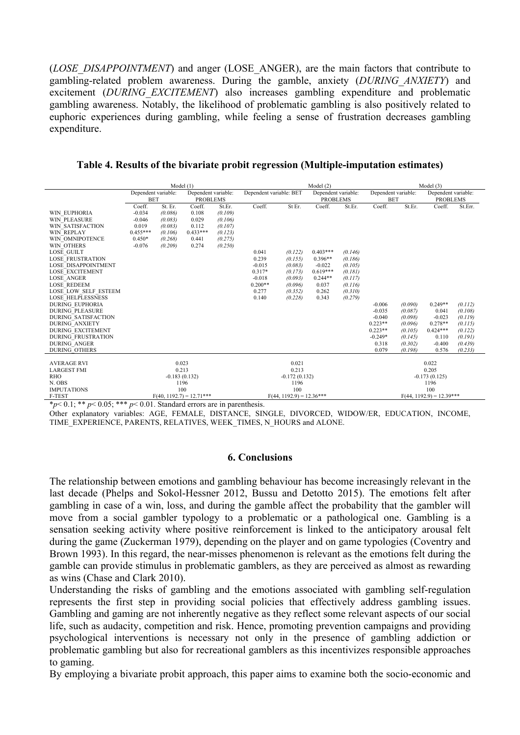(*LOSE\_DISAPPOINTMENT*) and anger (LOSE\_ANGER), are the main factors that contribute to gambling-related problem awareness. During the gamble, anxiety (*DURING\_ANXIETY*) and excitement *(DURING EXCITEMENT)* also increases gambling expenditure and problematic gambling awareness. Notably, the likelihood of problematic gambling is also positively related to euphoric experiences during gambling, while feeling a sense of frustration decreases gambling expenditure.

|                                                                                                                                                                                                                                                                                                        | Model $(1)$                                                                   |                                                                           |                                                                   |                                                                          | Model $(3)$                                                                                 |                                                                                                |                                                                                                     |                                                                                                |                                                                                           |                                                                                      |                                                                                         |                                                                                      |
|--------------------------------------------------------------------------------------------------------------------------------------------------------------------------------------------------------------------------------------------------------------------------------------------------------|-------------------------------------------------------------------------------|---------------------------------------------------------------------------|-------------------------------------------------------------------|--------------------------------------------------------------------------|---------------------------------------------------------------------------------------------|------------------------------------------------------------------------------------------------|-----------------------------------------------------------------------------------------------------|------------------------------------------------------------------------------------------------|-------------------------------------------------------------------------------------------|--------------------------------------------------------------------------------------|-----------------------------------------------------------------------------------------|--------------------------------------------------------------------------------------|
|                                                                                                                                                                                                                                                                                                        | Dependent variable:                                                           |                                                                           | Dependent variable:                                               |                                                                          | Dependent variable: BET                                                                     |                                                                                                | Dependent variable:                                                                                 |                                                                                                | Dependent variable:                                                                       |                                                                                      | Dependent variable:                                                                     |                                                                                      |
|                                                                                                                                                                                                                                                                                                        | <b>BET</b>                                                                    |                                                                           | <b>PROBLEMS</b>                                                   |                                                                          |                                                                                             |                                                                                                | <b>PROBLEMS</b>                                                                                     |                                                                                                | <b>BET</b>                                                                                |                                                                                      | <b>PROBLEMS</b>                                                                         |                                                                                      |
| WIN EUPHORIA<br><b>WIN PLEASURE</b><br>WIN SATISFACTION<br><b>WIN REPLAY</b><br>WIN OMNIPOTENCE<br>WIN OTHERS<br>LOSE GUILT<br><b>LOSE FRUSTRATION</b><br>LOSE DISAPPOINTMENT<br><b>LOSE EXCITEMENT</b><br><b>LOSE ANGER</b><br><b>LOSE REDEEM</b><br>LOSE LOW SELF ESTEEM<br><b>LOSE HELPLESSNESS</b> | Coeff.<br>$-0.034$<br>$-0.046$<br>0.019<br>$0.455***$<br>$0.450*$<br>$-0.076$ | St. Er.<br>(0.086)<br>(0.083)<br>(0.083)<br>(0.106)<br>(0.268)<br>(0.209) | Coeff.<br>0.108<br>0.029<br>0.112<br>$0.433***$<br>0.441<br>0.274 | St.Er.<br>(0.109)<br>(0.106)<br>(0.107)<br>(0.123)<br>(0.275)<br>(0.250) | Coeff.<br>0.041<br>0.239<br>$-0.015$<br>$0.317*$<br>$-0.018$<br>$0.200**$<br>0.277<br>0.140 | St Er.<br>(0.122)<br>(0.155)<br>(0.083)<br>(0.173)<br>(0.093)<br>(0.096)<br>(0.352)<br>(0.228) | Coeff.<br>$0.403***$<br>$0.396**$<br>$-0.022$<br>$0.619***$<br>$0.244**$<br>0.037<br>0.262<br>0.343 | St.Er.<br>(0.146)<br>(0.186)<br>(0.105)<br>(0.181)<br>(0.117)<br>(0.116)<br>(0.310)<br>(0.279) | Coeff.                                                                                    | St.Er.                                                                               | Coeff.                                                                                  | St.Err.                                                                              |
| <b>DURING EUPHORIA</b><br><b>DURING PLEASURE</b><br><b>DURING SATISFACTION</b><br><b>DURING ANXIETY</b><br><b>DURING EXCITEMENT</b><br><b>DURING FRUSTRATION</b><br><b>DURING ANGER</b><br><b>DURING OTHERS</b>                                                                                        |                                                                               |                                                                           |                                                                   |                                                                          |                                                                                             |                                                                                                |                                                                                                     |                                                                                                | $-0.006$<br>$-0.035$<br>$-0.040$<br>$0.223**$<br>$0.223**$<br>$-0.249*$<br>0.318<br>0.079 | (0.090)<br>(0.087)<br>(0.098)<br>(0.096)<br>(0.105)<br>(0.145)<br>(0.302)<br>(0.198) | $0.249**$<br>0.041<br>$-0.023$<br>$0.278**$<br>$0.424***$<br>0.110<br>$-0.400$<br>0.576 | (0.112)<br>(0.108)<br>(0.119)<br>(0.115)<br>(0.122)<br>(0.191)<br>(0.439)<br>(0.233) |
| <b>AVERAGE RVI</b><br><b>LARGEST FMI</b><br><b>RHO</b><br>N. OBS<br><b>IMPUTATIONS</b>                                                                                                                                                                                                                 | 0.023<br>0.213<br>$-0.183(0.132)$<br>1196<br>100                              |                                                                           |                                                                   | 0.021<br>0.213<br>$-0.172(0.132)$<br>1196<br>100                         |                                                                                             |                                                                                                |                                                                                                     | 0.022<br>0.205<br>$-0.173(0.125)$<br>1196<br>100                                               |                                                                                           |                                                                                      |                                                                                         |                                                                                      |
| F-TEST                                                                                                                                                                                                                                                                                                 |                                                                               |                                                                           | $F(40, 1192.7) = 12.71***$                                        |                                                                          |                                                                                             | $F(44, 1192.9) = 12.36***$                                                                     |                                                                                                     |                                                                                                |                                                                                           |                                                                                      | $F(44, 1192.9) = 12.39***$                                                              |                                                                                      |

**Table 4. Results of the bivariate probit regression (Multiple-imputation estimates)** 

\**p*< 0.1; \*\* *p*< 0.05; \*\*\* *p*< 0.01. Standard errors are in parenthesis.

Other explanatory variables: AGE, FEMALE, DISTANCE, SINGLE, DIVORCED, WIDOW/ER, EDUCATION, INCOME, TIME\_EXPERIENCE, PARENTS, RELATIVES, WEEK\_TIMES, N\_HOURS and ALONE.

### **6. Conclusions**

The relationship between emotions and gambling behaviour has become increasingly relevant in the last decade (Phelps and Sokol-Hessner 2012, Bussu and Detotto 2015). The emotions felt after gambling in case of a win, loss, and during the gamble affect the probability that the gambler will move from a social gambler typology to a problematic or a pathological one. Gambling is a sensation seeking activity where positive reinforcement is linked to the anticipatory arousal felt during the game (Zuckerman 1979), depending on the player and on game typologies (Coventry and Brown 1993). In this regard, the near-misses phenomenon is relevant as the emotions felt during the gamble can provide stimulus in problematic gamblers, as they are perceived as almost as rewarding as wins (Chase and Clark 2010).

Understanding the risks of gambling and the emotions associated with gambling self-regulation represents the first step in providing social policies that effectively address gambling issues. Gambling and gaming are not inherently negative as they reflect some relevant aspects of our social life, such as audacity, competition and risk. Hence, promoting prevention campaigns and providing psychological interventions is necessary not only in the presence of gambling addiction or problematic gambling but also for recreational gamblers as this incentivizes responsible approaches to gaming.

By employing a bivariate probit approach, this paper aims to examine both the socio-economic and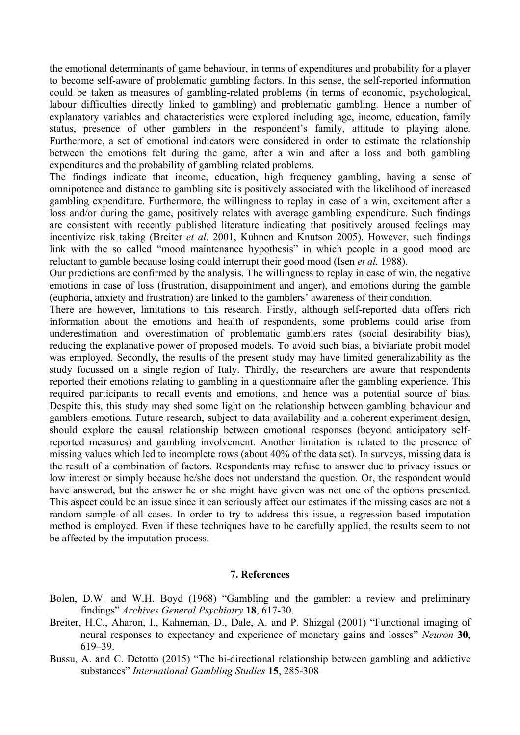the emotional determinants of game behaviour, in terms of expenditures and probability for a player to become self-aware of problematic gambling factors. In this sense, the self-reported information could be taken as measures of gambling-related problems (in terms of economic, psychological, labour difficulties directly linked to gambling) and problematic gambling. Hence a number of explanatory variables and characteristics were explored including age, income, education, family status, presence of other gamblers in the respondent's family, attitude to playing alone. Furthermore, a set of emotional indicators were considered in order to estimate the relationship between the emotions felt during the game, after a win and after a loss and both gambling expenditures and the probability of gambling related problems.

The findings indicate that income, education, high frequency gambling, having a sense of omnipotence and distance to gambling site is positively associated with the likelihood of increased gambling expenditure. Furthermore, the willingness to replay in case of a win, excitement after a loss and/or during the game, positively relates with average gambling expenditure. Such findings are consistent with recently published literature indicating that positively aroused feelings may incentivize risk taking (Breiter *et al.* 2001, Kuhnen and Knutson 2005). However, such findings link with the so called "mood maintenance hypothesis" in which people in a good mood are reluctant to gamble because losing could interrupt their good mood (Isen *et al.* 1988).

Our predictions are confirmed by the analysis. The willingness to replay in case of win, the negative emotions in case of loss (frustration, disappointment and anger), and emotions during the gamble (euphoria, anxiety and frustration) are linked to the gamblers' awareness of their condition.

There are however, limitations to this research. Firstly, although self-reported data offers rich information about the emotions and health of respondents, some problems could arise from underestimation and overestimation of problematic gamblers rates (social desirability bias), reducing the explanative power of proposed models. To avoid such bias, a biviariate probit model was employed. Secondly, the results of the present study may have limited generalizability as the study focussed on a single region of Italy. Thirdly, the researchers are aware that respondents reported their emotions relating to gambling in a questionnaire after the gambling experience. This required participants to recall events and emotions, and hence was a potential source of bias. Despite this, this study may shed some light on the relationship between gambling behaviour and gamblers emotions. Future research, subject to data availability and a coherent experiment design, should explore the causal relationship between emotional responses (beyond anticipatory selfreported measures) and gambling involvement. Another limitation is related to the presence of missing values which led to incomplete rows (about 40% of the data set). In surveys, missing data is the result of a combination of factors. Respondents may refuse to answer due to privacy issues or low interest or simply because he/she does not understand the question. Or, the respondent would have answered, but the answer he or she might have given was not one of the options presented. This aspect could be an issue since it can seriously affect our estimates if the missing cases are not a random sample of all cases. In order to try to address this issue, a regression based imputation method is employed. Even if these techniques have to be carefully applied, the results seem to not be affected by the imputation process.

## **7. References**

- Bolen, D.W. and W.H. Boyd (1968) "Gambling and the gambler: a review and preliminary findings" *Archives General Psychiatry* **18**, 617-30.
- Breiter, H.C., Aharon, I., Kahneman, D., Dale, A. and P. Shizgal (2001) "Functional imaging of neural responses to expectancy and experience of monetary gains and losses" *Neuron* **30**, 619–39.
- Bussu, A. and C. Detotto (2015) "The bi-directional relationship between gambling and addictive substances" *International Gambling Studies* **15**, 285-308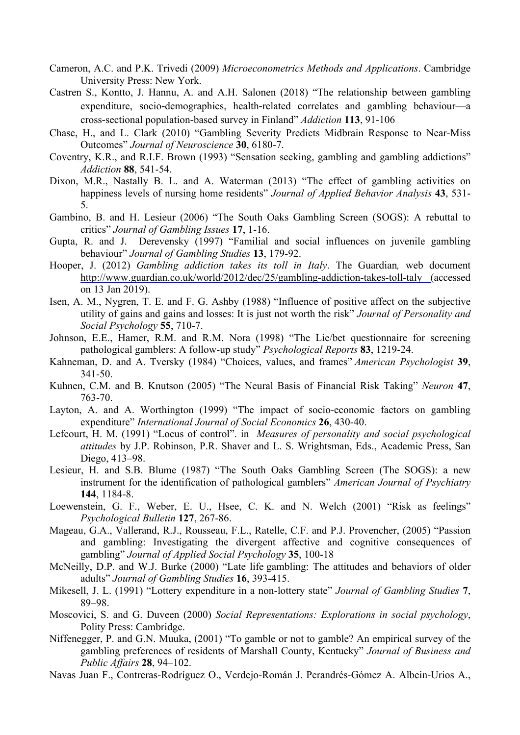- Cameron, A.C. and P.K. Trivedi (2009) *Microeconometrics Methods and Applications*. Cambridge University Press: New York.
- Castren S., Kontto, J. Hannu, A. and A.H. Salonen (2018) "The relationship between gambling expenditure, socio-demographics, health-related correlates and gambling behaviour—a cross‑sectional population‑based survey in Finland" *Addiction* **113**, 91-106
- Chase, H., and L. Clark (2010) "Gambling Severity Predicts Midbrain Response to Near-Miss Outcomes" *Journal of Neuroscience* **30**, 6180-7.
- Coventry, K.R., and R.I.F. Brown (1993) "Sensation seeking, gambling and gambling addictions" *Addiction* **88**, 541-54.
- Dixon, M.R., Nastally B. L. and A. Waterman (2013) "The effect of gambling activities on happiness levels of nursing home residents" *Journal of Applied Behavior Analysis* **43**, 531- 5.
- Gambino, B. and H. Lesieur (2006) "The South Oaks Gambling Screen (SOGS): A rebuttal to critics" *Journal of Gambling Issues* **17**, 1-16.
- Gupta, R. and J. Derevensky (1997) "Familial and social influences on juvenile gambling behaviour" *Journal of Gambling Studies* **13**, 179-92.
- Hooper, J. (2012) *Gambling addiction takes its toll in Italy*. The Guardian*,* web document http://www.guardian.co.uk/world/2012/dec/25/gambling-addiction-takes-toll-taly (accessed on 13 Jan 2019).
- Isen, A. M., Nygren, T. E. and F. G. Ashby (1988) "Influence of positive affect on the subjective utility of gains and gains and losses: It is just not worth the risk" *Journal of Personality and Social Psychology* **55**, 710-7.
- Johnson, E.E., Hamer, R.M. and R.M. Nora (1998) "The Lie/bet questionnaire for screening pathological gamblers: A follow-up study" *Psychological Reports* **83**, 1219-24.
- Kahneman, D. and A. Tversky (1984) "Choices, values, and frames" *American Psychologist* **39**, 341-50.
- Kuhnen, C.M. and B. Knutson (2005) "The Neural Basis of Financial Risk Taking" *Neuron* **47**, 763-70.
- Layton, A. and A. Worthington (1999) "The impact of socio-economic factors on gambling expenditure" *International Journal of Social Economics* **26**, 430-40.
- Lefcourt, H. M. (1991) "Locus of control". in *Measures of personality and social psychological attitudes* by J.P. Robinson, P.R. Shaver and L. S. Wrightsman, Eds., Academic Press, San Diego, 413–98.
- Lesieur, H. and S.B. Blume (1987) "The South Oaks Gambling Screen (The SOGS): a new instrument for the identification of pathological gamblers" *American Journal of Psychiatry* **144**, 1184-8.
- Loewenstein, G. F., Weber, E. U., Hsee, C. K. and N. Welch (2001) "Risk as feelings" *Psychological Bulletin* **127**, 267-86.
- Mageau, G.A., Vallerand, R.J., Rousseau, F.L., Ratelle, C.F. and P.J. Provencher, (2005) "Passion and gambling: Investigating the divergent affective and cognitive consequences of gambling" *Journal of Applied Social Psychology* **35**, 100-18
- McNeilly, D.P. and W.J. Burke (2000) "Late life gambling: The attitudes and behaviors of older adults" *Journal of Gambling Studies* **16**, 393-415.
- Mikesell, J. L. (1991) "Lottery expenditure in a non-lottery state" *Journal of Gambling Studies* **7**, 89–98.
- Moscovici, S. and G. Duveen (2000) *Social Representations: Explorations in social psychology*, Polity Press: Cambridge.
- Niffenegger, P. and G.N. Muuka, (2001) "To gamble or not to gamble? An empirical survey of the gambling preferences of residents of Marshall County, Kentucky" *Journal of Business and Public Affairs* **28**, 94–102.
- Navas Juan F., Contreras-Rodríguez O., Verdejo-Román J. Perandrés-Gómez A. Albein-Urios A.,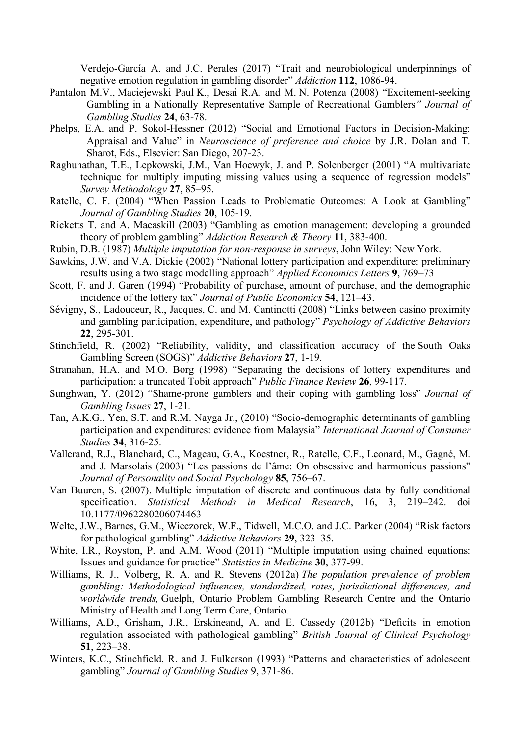Verdejo-García A. and J.C. Perales (2017) "Trait and neurobiological underpinnings of negative emotion regulation in gambling disorder" *Addiction* **112**, 1086-94.

- Pantalon M.V., Maciejewski Paul K., Desai R.A. and M. N. Potenza (2008) "Excitement-seeking Gambling in a Nationally Representative Sample of Recreational Gamblers*" Journal of Gambling Studies* **24**, 63-78.
- Phelps, E.A. and P. Sokol-Hessner (2012) "Social and Emotional Factors in Decision-Making: Appraisal and Value" in *Neuroscience of preference and choice* by J.R. Dolan and T. Sharot, Eds., Elsevier: San Diego, 207-23.
- Raghunathan, T.E., Lepkowski, J.M., Van Hoewyk, J. and P. Solenberger (2001) "A multivariate technique for multiply imputing missing values using a sequence of regression models" *Survey Methodology* **27**, 85–95.
- Ratelle, C. F. (2004) "When Passion Leads to Problematic Outcomes: A Look at Gambling" *Journal of Gambling Studies* **20**, 105-19.
- Ricketts T. and A. Macaskill (2003) "Gambling as emotion management: developing a grounded theory of problem gambling" *Addiction Research & Theory* **11**, 383-400.
- Rubin, D.B. (1987) *Multiple imputation for non-response in surveys*, John Wiley: New York.
- Sawkins, J.W. and V.A. Dickie (2002) "National lottery participation and expenditure: preliminary results using a two stage modelling approach" *Applied Economics Letters* **9**, 769–73
- Scott, F. and J. Garen (1994) "Probability of purchase, amount of purchase, and the demographic incidence of the lottery tax" *Journal of Public Economics* **54**, 121–43.
- Sévigny, S., Ladouceur, R., Jacques, C. and M. Cantinotti (2008) "Links between casino proximity and gambling participation, expenditure, and pathology" *Psychology of Addictive Behaviors* **22**, 295-301.
- Stinchfield, R. (2002) "Reliability, validity, and classification accuracy of the South Oaks Gambling Screen (SOGS)" *Addictive Behaviors* **27**, 1-19.
- Stranahan, H.A. and M.O. Borg (1998) "Separating the decisions of lottery expenditures and participation: a truncated Tobit approach" *Public Finance Review* **26**, 99-117.
- Sunghwan, Y. (2012) "Shame-prone gamblers and their coping with gambling loss" *Journal of Gambling Issues* **27**, 1-21*.*
- Tan, A.K.G., Yen, S.T. and R.M. Nayga Jr., (2010) "Socio-demographic determinants of gambling participation and expenditures: evidence from Malaysia" *International Journal of Consumer Studies* **34**, 316-25.
- Vallerand, R.J., Blanchard, C., Mageau, G.A., Koestner, R., Ratelle, C.F., Leonard, M., Gagné, M. and J. Marsolais (2003) "Les passions de l'âme: On obsessive and harmonious passions" *Journal of Personality and Social Psychology* **85**, 756–67.
- Van Buuren, S. (2007). Multiple imputation of discrete and continuous data by fully conditional specification. *Statistical Methods in Medical Research*, 16, 3, 219–242. doi 10.1177/0962280206074463
- Welte, J.W., Barnes, G.M., Wieczorek, W.F., Tidwell, M.C.O. and J.C. Parker (2004) "Risk factors for pathological gambling" *Addictive Behaviors* **29**, 323–35.
- White, I.R., Royston, P. and A.M. Wood (2011) "Multiple imputation using chained equations: Issues and guidance for practice" *Statistics in Medicine* **30**, 377-99.
- Williams, R. J., Volberg, R. A. and R. Stevens (2012a) *The population prevalence of problem gambling: Methodological influences, standardized, rates, jurisdictional differences, and worldwide trends,* Guelph, Ontario Problem Gambling Research Centre and the Ontario Ministry of Health and Long Term Care, Ontario.
- Williams, A.D., Grisham, J.R., Erskineand, A. and E. Cassedy (2012b) "Deficits in emotion regulation associated with pathological gambling" *British Journal of Clinical Psychology* **51**, 223–38.
- Winters, K.C., Stinchfield, R. and J. Fulkerson (1993) "Patterns and characteristics of adolescent gambling" *Journal of Gambling Studies* 9, 371-86.